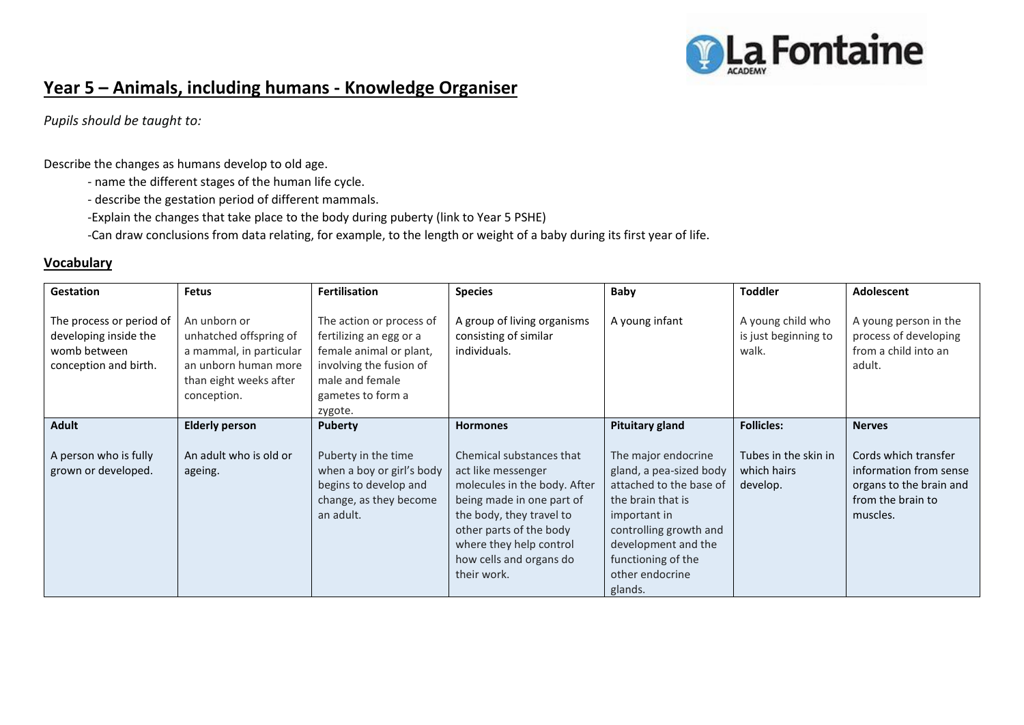

# **Year 5 – Animals, including humans - Knowledge Organiser**

*Pupils should be taught to:*

Describe the changes as humans develop to old age.

- name the different stages of the human life cycle.

- describe the gestation period of different mammals.

-Explain the changes that take place to the body during puberty (link to Year 5 PSHE)

-Can draw conclusions from data relating, for example, to the length or weight of a baby during its first year of life.

### **Vocabulary**

| <b>Gestation</b>                                                                           | <b>Fetus</b>                                                                                                                       | <b>Fertilisation</b>                                                                                                                                         | <b>Species</b>                                                                                                                                                                                                                          | Baby                                                                                                                                                                                                                | <b>Toddler</b>                                     | Adolescent                                                                                                 |
|--------------------------------------------------------------------------------------------|------------------------------------------------------------------------------------------------------------------------------------|--------------------------------------------------------------------------------------------------------------------------------------------------------------|-----------------------------------------------------------------------------------------------------------------------------------------------------------------------------------------------------------------------------------------|---------------------------------------------------------------------------------------------------------------------------------------------------------------------------------------------------------------------|----------------------------------------------------|------------------------------------------------------------------------------------------------------------|
| The process or period of<br>developing inside the<br>womb between<br>conception and birth. | An unborn or<br>unhatched offspring of<br>a mammal, in particular<br>an unborn human more<br>than eight weeks after<br>conception. | The action or process of<br>fertilizing an egg or a<br>female animal or plant,<br>involving the fusion of<br>male and female<br>gametes to form a<br>zygote. | A group of living organisms<br>consisting of similar<br>individuals.                                                                                                                                                                    | A young infant                                                                                                                                                                                                      | A young child who<br>is just beginning to<br>walk. | A young person in the<br>process of developing<br>from a child into an<br>adult.                           |
| <b>Adult</b>                                                                               | <b>Elderly person</b>                                                                                                              | <b>Puberty</b>                                                                                                                                               | <b>Hormones</b>                                                                                                                                                                                                                         | <b>Pituitary gland</b>                                                                                                                                                                                              | <b>Follicles:</b>                                  | <b>Nerves</b>                                                                                              |
| A person who is fully<br>grown or developed.                                               | An adult who is old or<br>ageing.                                                                                                  | Puberty in the time<br>when a boy or girl's body<br>begins to develop and<br>change, as they become<br>an adult.                                             | Chemical substances that<br>act like messenger<br>molecules in the body. After<br>being made in one part of<br>the body, they travel to<br>other parts of the body<br>where they help control<br>how cells and organs do<br>their work. | The major endocrine<br>gland, a pea-sized body<br>attached to the base of<br>the brain that is<br>important in<br>controlling growth and<br>development and the<br>functioning of the<br>other endocrine<br>glands. | Tubes in the skin in<br>which hairs<br>develop.    | Cords which transfer<br>information from sense<br>organs to the brain and<br>from the brain to<br>muscles. |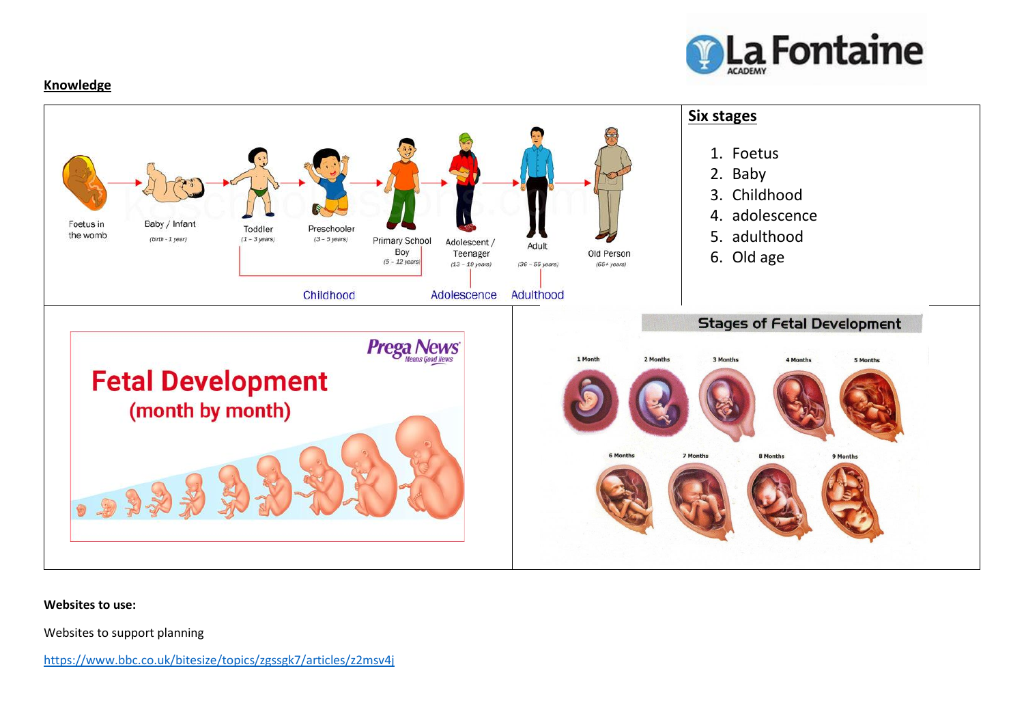# **Knowledge**





**Websites to use:**

Websites to support planning

<https://www.bbc.co.uk/bitesize/topics/zgssgk7/articles/z2msv4j>